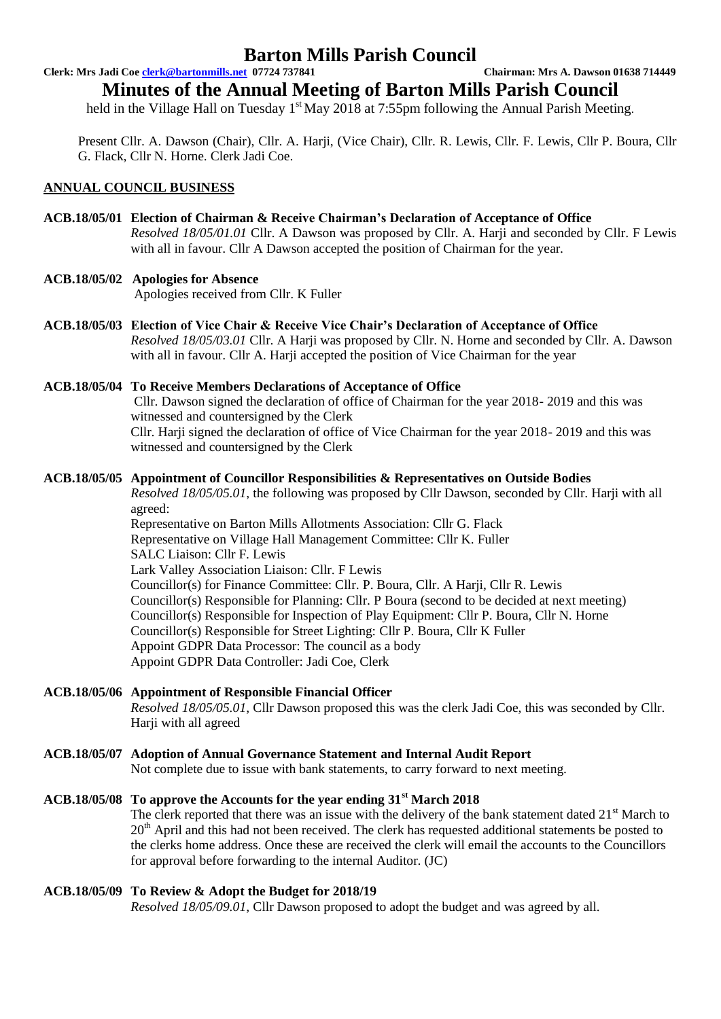**Clerk: Mrs Jadi Coe clerk@bartonmills.net 07724 737841 Chairman: Mrs A. Dawson 01638 714449**

**Minutes of the Annual Meeting of Barton Mills Parish Council**

held in the Village Hall on Tuesday  $1<sup>st</sup>$  May 2018 at 7:55pm following the Annual Parish Meeting.

Present Cllr. A. Dawson (Chair), Cllr. A. Harji, (Vice Chair), Cllr. R. Lewis, Cllr. F. Lewis, Cllr P. Boura, Cllr G. Flack, Cllr N. Horne. Clerk Jadi Coe.

### **ANNUAL COUNCIL BUSINESS**

#### **ACB.18/05/01 Election of Chairman & Receive Chairman's Declaration of Acceptance of Office** *Resolved 18/05/01.01* Cllr. A Dawson was proposed by Cllr. A. Harji and seconded by Cllr. F Lewis with all in favour. Cllr A Dawson accepted the position of Chairman for the year.

### **ACB.18/05/02 Apologies for Absence**

Apologies received from Cllr. K Fuller

**ACB.18/05/03 Election of Vice Chair & Receive Vice Chair's Declaration of Acceptance of Office** *Resolved 18/05/03.01* Cllr. A Harji was proposed by Cllr. N. Horne and seconded by Cllr. A. Dawson with all in favour. Cllr A. Harji accepted the position of Vice Chairman for the year

## **ACB.18/05/04 To Receive Members Declarations of Acceptance of Office**

Cllr. Dawson signed the declaration of office of Chairman for the year 2018- 2019 and this was witnessed and countersigned by the Clerk Cllr. Harji signed the declaration of office of Vice Chairman for the year 2018- 2019 and this was witnessed and countersigned by the Clerk

#### **ACB.18/05/05 Appointment of Councillor Responsibilities & Representatives on Outside Bodies**

*Resolved 18/05/05.01*, the following was proposed by Cllr Dawson, seconded by Cllr. Harji with all agreed:

Representative on Barton Mills Allotments Association: Cllr G. Flack Representative on Village Hall Management Committee: Cllr K. Fuller SALC Liaison: Cllr F. Lewis Lark Valley Association Liaison: Cllr. F Lewis Councillor(s) for Finance Committee: Cllr. P. Boura, Cllr. A Harji, Cllr R. Lewis Councillor(s) Responsible for Planning: Cllr. P Boura (second to be decided at next meeting) Councillor(s) Responsible for Inspection of Play Equipment: Cllr P. Boura, Cllr N. Horne Councillor(s) Responsible for Street Lighting: Cllr P. Boura, Cllr K Fuller Appoint GDPR Data Processor: The council as a body Appoint GDPR Data Controller: Jadi Coe, Clerk

### **ACB.18/05/06 Appointment of Responsible Financial Officer**

*Resolved 18/05/05.01*, Cllr Dawson proposed this was the clerk Jadi Coe, this was seconded by Cllr. Harii with all agreed

### **ACB.18/05/07 Adoption of Annual Governance Statement and Internal Audit Report**

Not complete due to issue with bank statements, to carry forward to next meeting.

### **ACB.18/05/08 To approve the Accounts for the year ending 31st March 2018**

The clerk reported that there was an issue with the delivery of the bank statement dated 21<sup>st</sup> March to 20<sup>th</sup> April and this had not been received. The clerk has requested additional statements be posted to the clerks home address. Once these are received the clerk will email the accounts to the Councillors for approval before forwarding to the internal Auditor. (JC)

### **ACB.18/05/09 To Review & Adopt the Budget for 2018/19**

*Resolved 18/05/09.01*, Cllr Dawson proposed to adopt the budget and was agreed by all.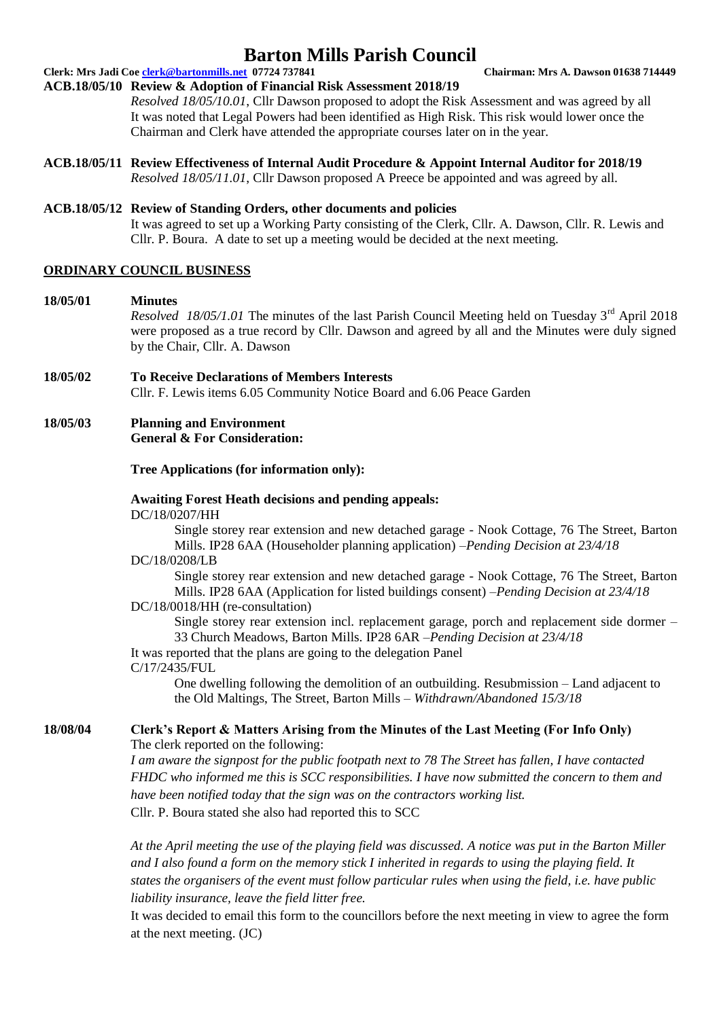**Clerk: Mrs Jadi Coe clerk@bartonmills.net 07724 737841 Chairman: Mrs A. Dawson 01638 714449**

#### **ACB.18/05/10 Review & Adoption of Financial Risk Assessment 2018/19**

*Resolved 18/05/10.01*, Cllr Dawson proposed to adopt the Risk Assessment and was agreed by all It was noted that Legal Powers had been identified as High Risk. This risk would lower once the Chairman and Clerk have attended the appropriate courses later on in the year.

**ACB.18/05/11 Review Effectiveness of Internal Audit Procedure & Appoint Internal Auditor for 2018/19** *Resolved 18/05/11.01*, Cllr Dawson proposed A Preece be appointed and was agreed by all.

#### **ACB.18/05/12 Review of Standing Orders, other documents and policies**

It was agreed to set up a Working Party consisting of the Clerk, Cllr. A. Dawson, Cllr. R. Lewis and Cllr. P. Boura. A date to set up a meeting would be decided at the next meeting.

#### **ORDINARY COUNCIL BUSINESS**

#### **18/05/01 Minutes**

*Resolved 18/05/1.01* The minutes of the last Parish Council Meeting held on Tuesday 3<sup>rd</sup> April 2018 were proposed as a true record by Cllr. Dawson and agreed by all and the Minutes were duly signed by the Chair, Cllr. A. Dawson

**18/05/02 To Receive Declarations of Members Interests** Cllr. F. Lewis items 6.05 Community Notice Board and 6.06 Peace Garden

#### **18/05/03 Planning and Environment General & For Consideration:**

#### **Tree Applications (for information only):**

#### **Awaiting Forest Heath decisions and pending appeals:** DC/18/0207/HH

Single storey rear extension and new detached garage - Nook Cottage, 76 The Street, Barton Mills. IP28 6AA (Householder planning application) –*Pending Decision at 23/4/18*

#### DC/18/0208/LB

Single storey rear extension and new detached garage - Nook Cottage, 76 The Street, Barton Mills. IP28 6AA (Application for listed buildings consent) –*Pending Decision at 23/4/18* DC/18/0018/HH (re-consultation)

Single storey rear extension incl. replacement garage, porch and replacement side dormer – 33 Church Meadows, Barton Mills. IP28 6AR –*Pending Decision at 23/4/18*

It was reported that the plans are going to the delegation Panel C/17/2435/FUL

> One dwelling following the demolition of an outbuilding. Resubmission – Land adjacent to the Old Maltings, The Street, Barton Mills – *Withdrawn/Abandoned 15/3/18*

#### **18/08/04 Clerk's Report & Matters Arising from the Minutes of the Last Meeting (For Info Only)** The clerk reported on the following:

*I am aware the signpost for the public footpath next to 78 The Street has fallen, I have contacted FHDC who informed me this is SCC responsibilities. I have now submitted the concern to them and have been notified today that the sign was on the contractors working list.* Cllr. P. Boura stated she also had reported this to SCC

*At the April meeting the use of the playing field was discussed. A notice was put in the Barton Miller and I also found a form on the memory stick I inherited in regards to using the playing field. It states the organisers of the event must follow particular rules when using the field, i.e. have public liability insurance, leave the field litter free.* 

It was decided to email this form to the councillors before the next meeting in view to agree the form at the next meeting. (JC)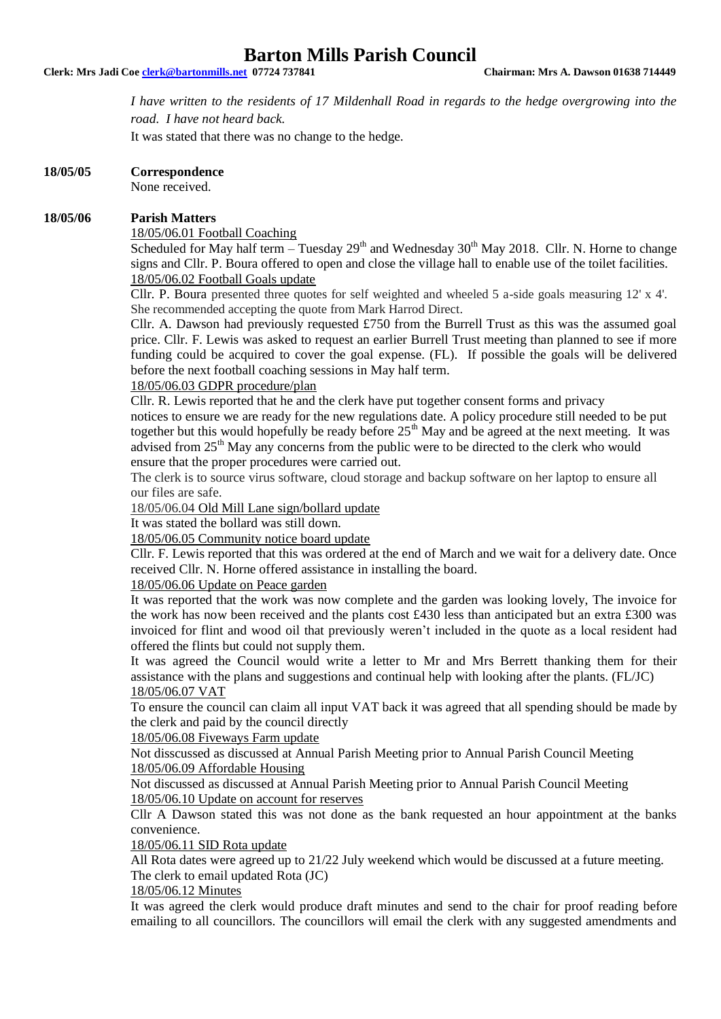#### **Clerk: Mrs Jadi Coe clerk@bartonmills.net 07724 737841 Chairman: Mrs A. Dawson 01638 714449**

*I have written to the residents of 17 Mildenhall Road in regards to the hedge overgrowing into the road. I have not heard back.* 

It was stated that there was no change to the hedge.

#### **18/05/05 Correspondence**

None received.

#### **18/05/06 Parish Matters**

18/05/06.01 Football Coaching

Scheduled for May half term – Tuesday  $29<sup>th</sup>$  and Wednesday  $30<sup>th</sup>$  May 2018. Cllr. N. Horne to change signs and Cllr. P. Boura offered to open and close the village hall to enable use of the toilet facilities. 18/05/06.02 Football Goals update

Cllr. P. Boura presented three quotes for self weighted and wheeled 5 a-side goals measuring 12' x 4'. She recommended accepting the quote from Mark Harrod Direct.

Cllr. A. Dawson had previously requested £750 from the Burrell Trust as this was the assumed goal price. Cllr. F. Lewis was asked to request an earlier Burrell Trust meeting than planned to see if more funding could be acquired to cover the goal expense. (FL). If possible the goals will be delivered before the next football coaching sessions in May half term.

18/05/06.03 GDPR procedure/plan

Cllr. R. Lewis reported that he and the clerk have put together consent forms and privacy notices to ensure we are ready for the new regulations date. A policy procedure still needed to be put together but this would hopefully be ready before  $25<sup>th</sup>$  May and be agreed at the next meeting. It was advised from 25<sup>th</sup> May any concerns from the public were to be directed to the clerk who would ensure that the proper procedures were carried out.

The clerk is to source virus software, cloud storage and backup software on her laptop to ensure all our files are safe.

18/05/06.04 Old Mill Lane sign/bollard update

It was stated the bollard was still down.

18/05/06.05 Community notice board update

Cllr. F. Lewis reported that this was ordered at the end of March and we wait for a delivery date. Once received Cllr. N. Horne offered assistance in installing the board.

#### 18/05/06.06 Update on Peace garden

It was reported that the work was now complete and the garden was looking lovely, The invoice for the work has now been received and the plants cost £430 less than anticipated but an extra £300 was invoiced for flint and wood oil that previously weren't included in the quote as a local resident had offered the flints but could not supply them.

It was agreed the Council would write a letter to Mr and Mrs Berrett thanking them for their assistance with the plans and suggestions and continual help with looking after the plants. (FL/JC) 18/05/06.07 VAT

To ensure the council can claim all input VAT back it was agreed that all spending should be made by the clerk and paid by the council directly

18/05/06.08 Fiveways Farm update

Not disscussed as discussed at Annual Parish Meeting prior to Annual Parish Council Meeting 18/05/06.09 Affordable Housing

Not discussed as discussed at Annual Parish Meeting prior to Annual Parish Council Meeting 18/05/06.10 Update on account for reserves

Cllr A Dawson stated this was not done as the bank requested an hour appointment at the banks convenience.

18/05/06.11 SID Rota update

All Rota dates were agreed up to 21/22 July weekend which would be discussed at a future meeting. The clerk to email updated Rota (JC)

18/05/06.12 Minutes

It was agreed the clerk would produce draft minutes and send to the chair for proof reading before emailing to all councillors. The councillors will email the clerk with any suggested amendments and